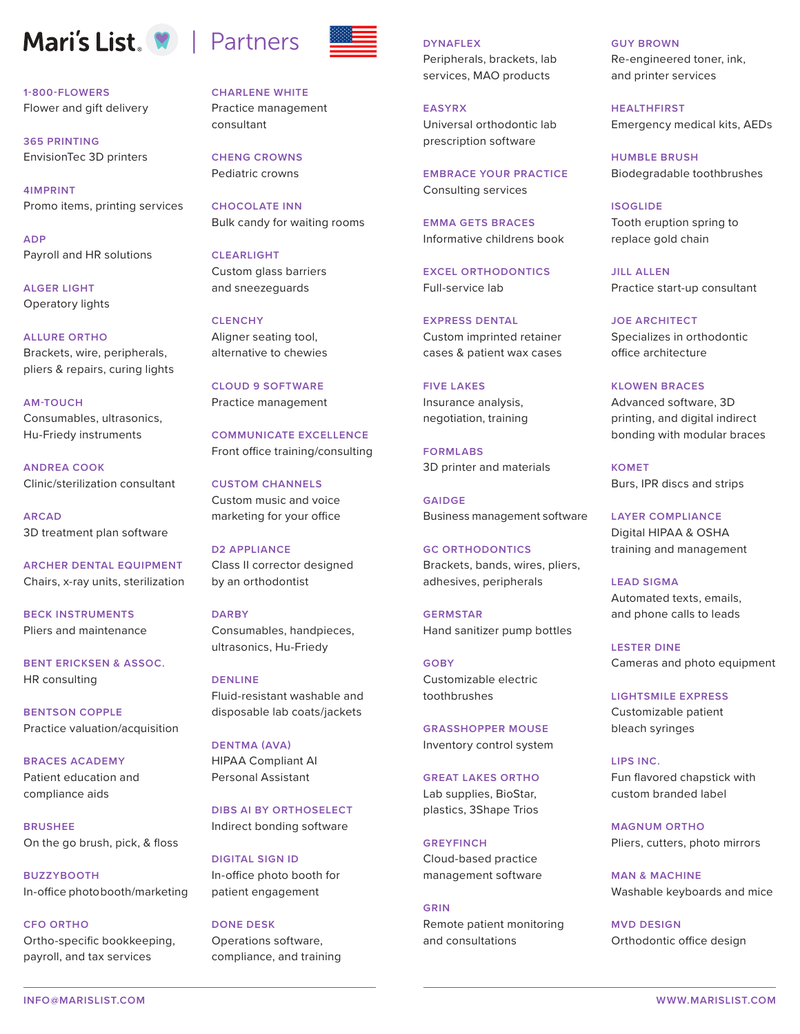## Mari's List. **W** | Partners

**1-800-FLOWERS** Flower and gift delivery

**365 PRINTING** EnvisionTec 3D printers

**4IMPRINT** Promo items, printing services

**ADP** Payroll and HR solutions

**ALGER LIGHT** Operatory lights

**ALLURE ORTHO** Brackets, wire, peripherals, pliers & repairs, curing lights

**AM-TOUCH** Consumables, ultrasonics, Hu-Friedy instruments

**ANDREA COOK** Clinic/sterilization consultant

**ARCAD** 3D treatment plan software

**ARCHER DENTAL EQUIPMENT** Chairs, x-ray units, sterilization

**BECK INSTRUMENTS** Pliers and maintenance

**BENT ERICKSEN & ASSOC.** HR consulting

**BENTSON COPPLE**  Practice valuation/acquisition

**BRACES ACADEMY** Patient education and compliance aids

**BRUSHEE** On the go brush, pick, & floss

**BUZZYBOOTH** In-office photobooth/marketing

**CFO ORTHO**

Ortho-specific bookkeeping, payroll, and tax services



**CHARLENE WHITE** Practice management consultant

**CHENG CROWNS** Pediatric crowns

**CHOCOLATE INN** Bulk candy for waiting rooms

**CLEARLIGHT** Custom glass barriers and sneezeguards

**CLENCHY** Aligner seating tool, alternative to chewies

**CLOUD 9 SOFTWARE** Practice management

**COMMUNICATE EXCELLENCE** Front office training/consulting

**CUSTOM CHANNELS** Custom music and voice marketing for your office

**D2 APPLIANCE** Class II corrector designed by an orthodontist

**DARBY** Consumables, handpieces, ultrasonics, Hu-Friedy

**DENLINE** Fluid-resistant washable and disposable lab coats/jackets

**DENTMA (AVA)** HIPAA Compliant AI Personal Assistant

**DIBS AI BY ORTHOSELECT** Indirect bonding software

**DIGITAL SIGN ID** In-office photo booth for patient engagement

**DONE DESK** Operations software, compliance, and training **DYNAFLEX**

Peripherals, brackets, lab services, MAO products

**EASYRX** Universal orthodontic lab prescription software

**EMBRACE YOUR PRACTICE** Consulting services

**EMMA GETS BRACES** Informative childrens book

**EXCEL ORTHODONTICS** Full-service lab

**EXPRESS DENTAL** Custom imprinted retainer cases & patient wax cases

**FIVE LAKES** Insurance analysis, negotiation, training

**FORMLABS** 3D printer and materials

**GAIDGE** Business management software

**GC ORTHODONTICS** Brackets, bands, wires, pliers, adhesives, peripherals

**GERMSTAR** Hand sanitizer pump bottles

**GOBY** Customizable electric toothbrushes

**GRASSHOPPER MOUSE** Inventory control system

**GREAT LAKES ORTHO** Lab supplies, BioStar, plastics, 3Shape Trios

**GREYFINCH** Cloud-based practice management software

**GRIN** Remote patient monitoring and consultations

**GUY BROWN** Re-engineered toner, ink, and printer services

**HEALTHFIRST** Emergency medical kits, AEDs

**HUMBLE BRUSH** Biodegradable toothbrushes

**ISOGLIDE** Tooth eruption spring to replace gold chain

**JILL ALLEN** Practice start-up consultant

**JOE ARCHITECT** Specializes in orthodontic office architecture

**KLOWEN BRACES** Advanced software, 3D printing, and digital indirect bonding with modular braces

**KOMET** Burs, IPR discs and strips

**LAYER COMPLIANCE** Digital HIPAA & OSHA training and management

**LEAD SIGMA** Automated texts, emails, and phone calls to leads

**LESTER DINE** Cameras and photo equipment

**LIGHTSMILE EXPRESS** Customizable patient bleach syringes

**LIPS INC.** Fun flavored chapstick with custom branded label

**MAGNUM ORTHO** Pliers, cutters, photo mirrors

**MAN & MACHINE** Washable keyboards and mice

**MVD DESIGN** Orthodontic office design